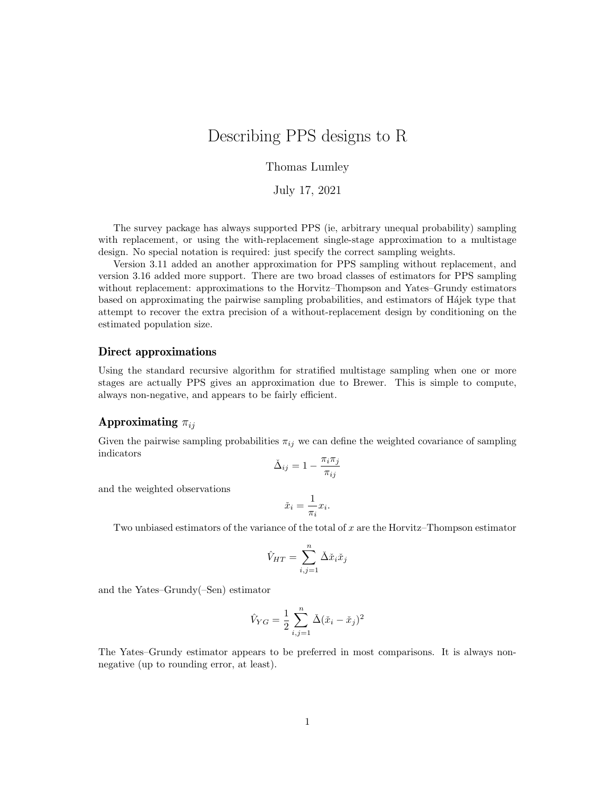# Describing PPS designs to R

### Thomas Lumley

July 17, 2021

The survey package has always supported PPS (ie, arbitrary unequal probability) sampling with replacement, or using the with-replacement single-stage approximation to a multistage design. No special notation is required: just specify the correct sampling weights.

Version 3.11 added an another approximation for PPS sampling without replacement, and version 3.16 added more support. There are two broad classes of estimators for PPS sampling without replacement: approximations to the Horvitz–Thompson and Yates–Grundy estimators based on approximating the pairwise sampling probabilities, and estimators of Hajek type that attempt to recover the extra precision of a without-replacement design by conditioning on the estimated population size.

#### Direct approximations

Using the standard recursive algorithm for stratified multistage sampling when one or more stages are actually PPS gives an approximation due to Brewer. This is simple to compute, always non-negative, and appears to be fairly efficient.

## Approximating  $\pi_{ij}$

Given the pairwise sampling probabilities  $\pi_{ij}$  we can define the weighted covariance of sampling indicators

$$
\check{\Delta}_{ij} = 1 - \frac{\pi_i \pi_j}{\pi_{ij}}
$$

and the weighted observations

$$
\check{x}_i = \frac{1}{\pi_i} x_i.
$$

Two unbiased estimators of the variance of the total of x are the Horvitz–Thompson estimator

$$
\hat{V}_{HT} = \sum_{i,j=1}^{n} \check{\Delta} \check{x}_i \check{x}_j
$$

and the Yates–Grundy(–Sen) estimator

$$
\hat{V}_{YG} = \frac{1}{2} \sum_{i,j=1}^{n} \check{\Delta} (\check{x}_i - \check{x}_j)^2
$$

The Yates–Grundy estimator appears to be preferred in most comparisons. It is always nonnegative (up to rounding error, at least).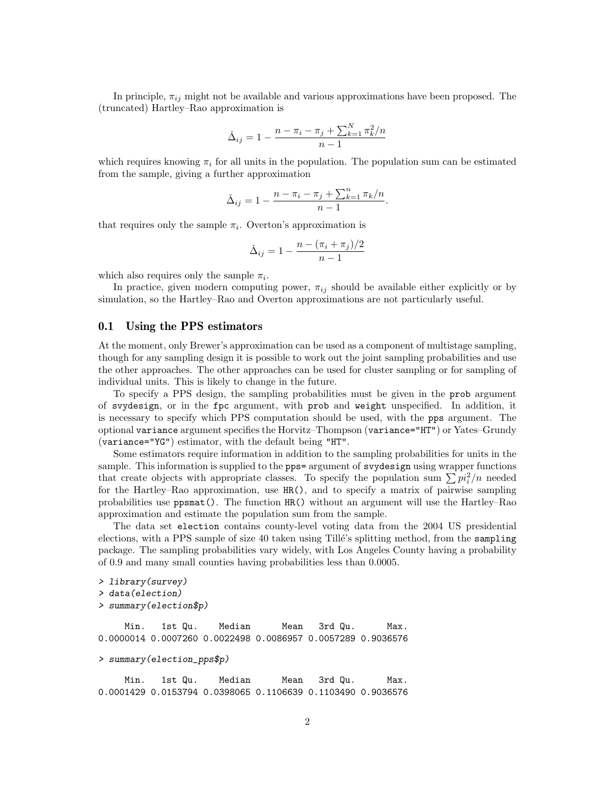In principle,  $\pi_{ij}$  might not be available and various approximations have been proposed. The (truncated) Hartley–Rao approximation is

$$
\check{\Delta}_{ij} = 1 - \frac{n - \pi_i - \pi_j + \sum_{k=1}^{N} \pi_k^2/n}{n - 1}
$$

which requires knowing  $\pi_i$  for all units in the population. The population sum can be estimated from the sample, giving a further approximation

$$
\Delta_{ij} = 1 - \frac{n - \pi_i - \pi_j + \sum_{k=1}^n \pi_k/n}{n - 1}.
$$

that requires only the sample  $\pi_i$ . Overton's approximation is

$$
\check{\Delta}_{ij} = 1 - \frac{n - (\pi_i + \pi_j)/2}{n - 1}
$$

which also requires only the sample  $\pi_i$ .

In practice, given modern computing power,  $\pi_{ij}$  should be available either explicitly or by simulation, so the Hartley–Rao and Overton approximations are not particularly useful.

#### 0.1 Using the PPS estimators

At the moment, only Brewer's approximation can be used as a component of multistage sampling, though for any sampling design it is possible to work out the joint sampling probabilities and use the other approaches. The other approaches can be used for cluster sampling or for sampling of individual units. This is likely to change in the future.

To specify a PPS design, the sampling probabilities must be given in the prob argument of svydesign, or in the fpc argument, with prob and weight unspecified. In addition, it is necessary to specify which PPS computation should be used, with the pps argument. The optional variance argument specifies the Horvitz–Thompson (variance="HT") or Yates–Grundy (variance="YG") estimator, with the default being "HT".

Some estimators require information in addition to the sampling probabilities for units in the sample. This information is supplied to the pps= argument of svydesign using wrapper functions that create objects with appropriate classes. To specify the population sum  $\sum p_i^2/n$  needed for the Hartley–Rao approximation, use HR(), and to specify a matrix of pairwise sampling probabilities use ppsmat(). The function HR() without an argument will use the Hartley–Rao approximation and estimate the population sum from the sample.

The data set election contains county-level voting data from the 2004 US presidential elections, with a PPS sample of size 40 taken using Tillé's splitting method, from the sampling package. The sampling probabilities vary widely, with Los Angeles County having a probability of 0.9 and many small counties having probabilities less than 0.0005.

```
> library(survey)
> data(election)
> summary(election$p)
```
Min. 1st Qu. Median Mean 3rd Qu. Max. 0.0000014 0.0007260 0.0022498 0.0086957 0.0057289 0.9036576

```
> summary(election_pps$p)
```
Min. 1st Qu. Median Mean 3rd Qu. Max. 0.0001429 0.0153794 0.0398065 0.1106639 0.1103490 0.9036576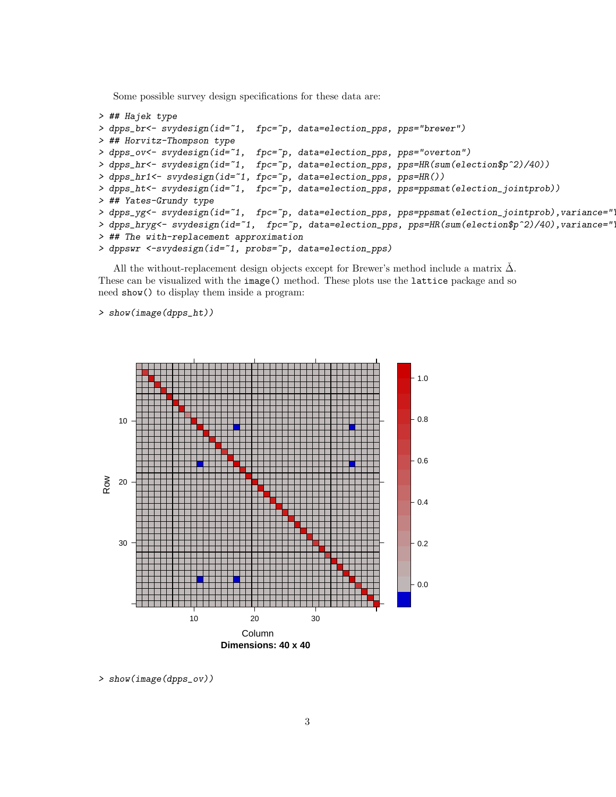Some possible survey design specifications for these data are:

```
> ## Hajek type
> dpps_br<- svydesign(id=~1, fpc=~p, data=election_pps, pps="brewer")
> ## Horvitz-Thompson type
> dpps_ov<- svydesign(id=~1, fpc=~p, data=election_pps, pps="overton")
> dpps_hr<- svydesign(id=~1, fpc=~p, data=election_pps, pps=HR(sum(election$p^2)/40))
> dpps_hr1<- svydesign(id=~1, fpc=~p, data=election_pps, pps=HR())
> dpps_ht<- svydesign(id=~1, fpc=~p, data=election_pps, pps=ppsmat(election_jointprob))
> ## Yates-Grundy type
> dpps_yg<- svydesign(id=~1, fpc=~p, data=election_pps, pps=ppsmat(election_jointprob),variance="
> dpps_hryg<- svydesign(id=~1, fpc=~p, data=election_pps, pps=HR(sum(election$p^2)/40),variance="
> ## The with-replacement approximation
> dppswr <-svydesign(id=~1, probs=~p, data=election_pps)
```
All the without-replacement design objects except for Brewer's method include a matrix  $\Delta$ . These can be visualized with the image() method. These plots use the lattice package and so need show() to display them inside a program:

> show(image(dpps\_ht))



> show(image(dpps\_ov))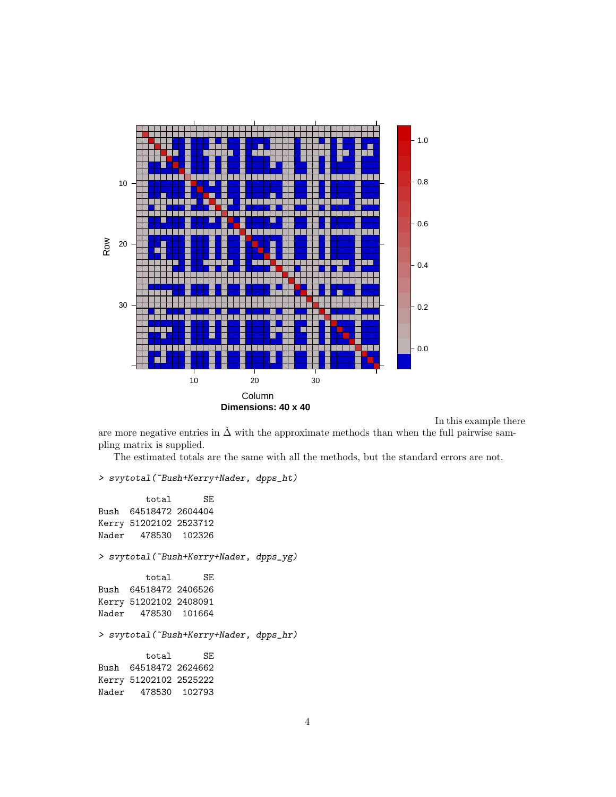

In this example there

are more negative entries in  $\Delta$  with the approximate methods than when the full pairwise sampling matrix is supplied.

The estimated totals are the same with all the methods, but the standard errors are not.

> svytotal(~Bush+Kerry+Nader, dpps\_ht)

total SE Bush 64518472 2604404 Kerry 51202102 2523712 Nader 478530 102326 > svytotal(~Bush+Kerry+Nader, dpps\_yg) total SE Bush 64518472 2406526 Kerry 51202102 2408091 Nader 478530 101664 > svytotal(~Bush+Kerry+Nader, dpps\_hr) total SE Bush 64518472 2624662 Kerry 51202102 2525222 Nader 478530 102793